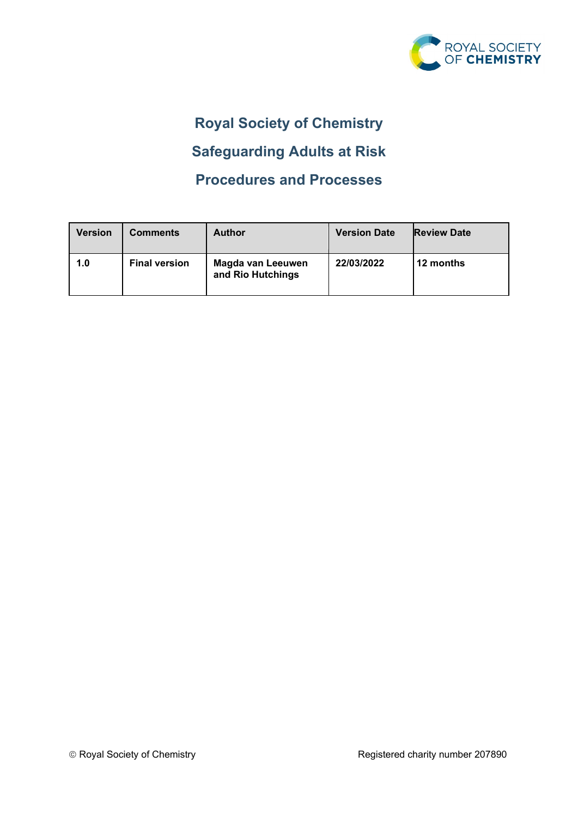

# **Royal Society of Chemistry**

# **Safeguarding Adults at Risk**

# **Procedures and Processes**

| <b>Version</b> | Comments             | <b>Author</b>                          | <b>Version Date</b> | <b>Review Date</b> |
|----------------|----------------------|----------------------------------------|---------------------|--------------------|
| 1.0            | <b>Final version</b> | Magda van Leeuwen<br>and Rio Hutchings | 22/03/2022          | l 12 months        |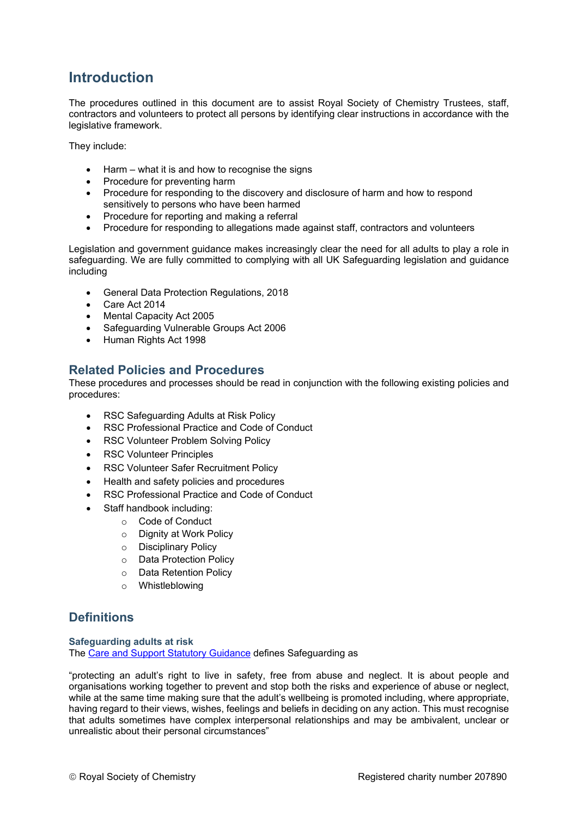# **Introduction**

The procedures outlined in this document are to assist Royal Society of Chemistry Trustees, staff, contractors and volunteers to protect all persons by identifying clear instructions in accordance with the legislative framework.

They include:

- Harm  $-$  what it is and how to recognise the signs
- Procedure for preventing harm
- Procedure for responding to the discovery and disclosure of harm and how to respond sensitively to persons who have been harmed
- Procedure for reporting and making a referral
- Procedure for responding to allegations made against staff, contractors and volunteers

Legislation and government guidance makes increasingly clear the need for all adults to play a role in safeguarding. We are fully committed to complying with all UK Safeguarding legislation and guidance including

- General Data Protection Regulations, 2018
- Care Act 2014
- Mental Capacity Act 2005
- Safeguarding Vulnerable Groups Act 2006
- Human Rights Act 1998

## **Related Policies and Procedures**

These procedures and processes should be read in conjunction with the following existing policies and procedures:

- RSC Safeguarding Adults at Risk Policy
- RSC Professional Practice and Code of Conduct
- **RSC Volunteer Problem Solving Policy**
- RSC Volunteer Principles
- RSC Volunteer Safer Recruitment Policy
- Health and safety policies and procedures
- RSC Professional Practice and Code of Conduct
- Staff handbook including:
	- o Code of Conduct
		- o Dignity at Work Policy
		- o Disciplinary Policy
		- o Data Protection Policy
		- o Data Retention Policy
		- o Whistleblowing

## **Definitions**

**Safeguarding adults at risk** The [Care and Support Statutory Guidance](https://www.gov.uk/government/publications/care-act-statutory-guidance/care-and-support-statutory-guidance) defines Safeguarding as

"protecting an adult's right to live in safety, free from abuse and neglect. It is about people and organisations working together to prevent and stop both the risks and experience of abuse or neglect, while at the same time making sure that the adult's wellbeing is promoted including, where appropriate, having regard to their views, wishes, feelings and beliefs in deciding on any action. This must recognise that adults sometimes have complex interpersonal relationships and may be ambivalent, unclear or unrealistic about their personal circumstances"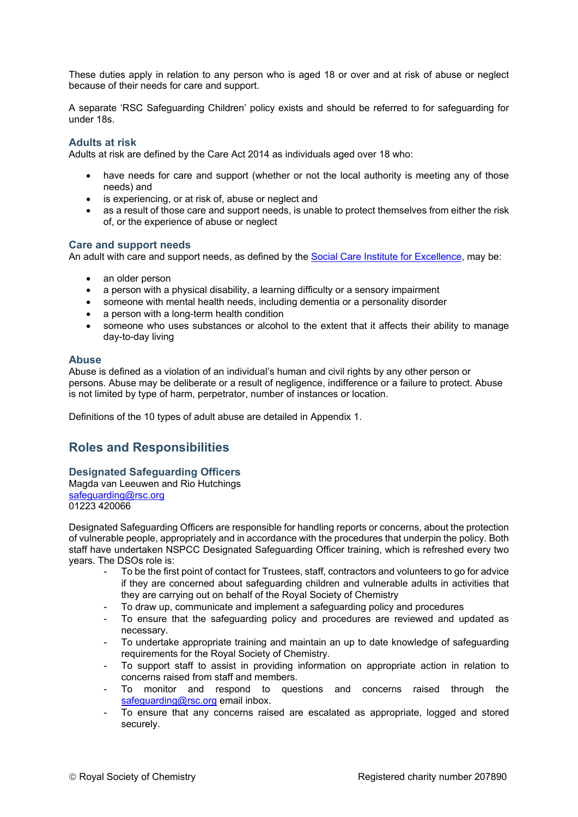These duties apply in relation to any person who is aged 18 or over and at risk of abuse or neglect because of their needs for care and support.

A separate 'RSC Safeguarding Children' policy exists and should be referred to for safeguarding for under 18s.

## **Adults at risk**

Adults at risk are defined by the Care Act 2014 as individuals aged over 18 who:

- have needs for care and support (whether or not the local authority is meeting any of those needs) and
- is experiencing, or at risk of, abuse or neglect and
- as a result of those care and support needs, is unable to protect themselves from either the risk of, or the experience of abuse or neglect

## **Care and support needs**

An adult with care and support needs, as defined by the [Social Care Institute for Excellence,](https://www.scie.org.uk/safeguarding/adults/practice/questions) may be:

- an older person
- a person with a physical disability, a learning difficulty or a sensory impairment
- someone with mental health needs, including dementia or a personality disorder
- a person with a long-term health condition
- someone who uses substances or alcohol to the extent that it affects their ability to manage day-to-day living

#### **Abuse**

Abuse is defined as a violation of an individual's human and civil rights by any other person or persons. Abuse may be deliberate or a result of negligence, indifference or a failure to protect. Abuse is not limited by type of harm, perpetrator, number of instances or location.

Definitions of the 10 types of adult abuse are detailed in Appendix 1.

## **Roles and Responsibilities**

## **Designated Safeguarding Officers**

Magda van Leeuwen and Rio Hutchings [safeguarding@rsc.org](mailto:safeguarding@rsc.org) 01223 420066

Designated Safeguarding Officers are responsible for handling reports or concerns, about the protection of vulnerable people, appropriately and in accordance with the procedures that underpin the policy. Both staff have undertaken NSPCC Designated Safeguarding Officer training, which is refreshed every two years. The DSOs role is:

- To be the first point of contact for Trustees, staff, contractors and volunteers to go for advice if they are concerned about safeguarding children and vulnerable adults in activities that they are carrying out on behalf of the Royal Society of Chemistry
	- To draw up, communicate and implement a safeguarding policy and procedures
- To ensure that the safeguarding policy and procedures are reviewed and updated as necessary.
- To undertake appropriate training and maintain an up to date knowledge of safeguarding requirements for the Royal Society of Chemistry.
- To support staff to assist in providing information on appropriate action in relation to concerns raised from staff and members.
- To monitor and respond to questions and concerns raised through the [safeguarding@rsc.org](mailto:safeguarding@rsc.org) email inbox.
- To ensure that any concerns raised are escalated as appropriate, logged and stored securely.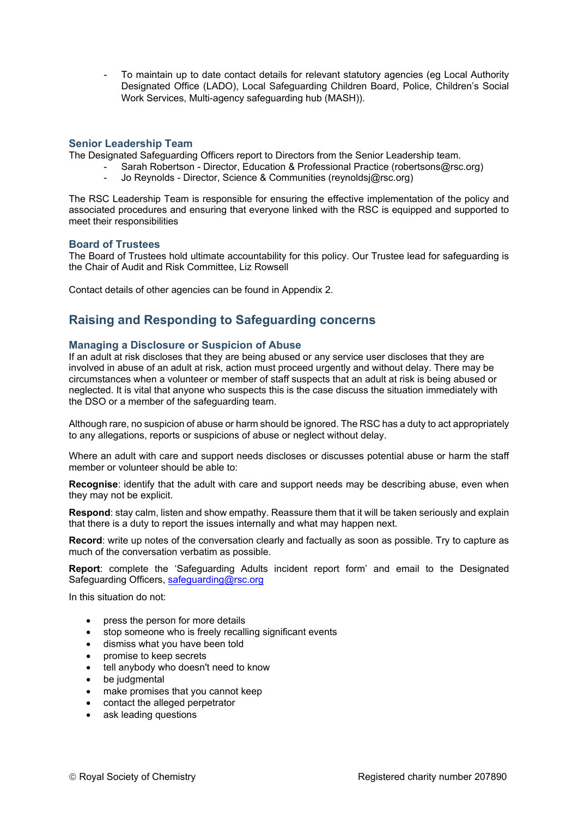To maintain up to date contact details for relevant statutory agencies (eg Local Authority Designated Office (LADO), Local Safeguarding Children Board, Police, Children's Social Work Services, Multi-agency safeguarding hub (MASH)).

## **Senior Leadership Team**

The Designated Safeguarding Officers report to Directors from the Senior Leadership team.

- Sarah Robertson Director, Education & Professional Practice (robertsons@rsc.org)<br>- Jo Reynolds Director, Science & Communities (reynoldsi@rsc.org)
	- Jo Reynolds Director, Science & Communities (reynoldsj@rsc.org)

The RSC Leadership Team is responsible for ensuring the effective implementation of the policy and associated procedures and ensuring that everyone linked with the RSC is equipped and supported to meet their responsibilities

## **Board of Trustees**

The Board of Trustees hold ultimate accountability for this policy. Our Trustee lead for safeguarding is the Chair of Audit and Risk Committee, Liz Rowsell

Contact details of other agencies can be found in Appendix 2.

## **Raising and Responding to Safeguarding concerns**

## **Managing a Disclosure or Suspicion of Abuse**

If an adult at risk discloses that they are being abused or any service user discloses that they are involved in abuse of an adult at risk, action must proceed urgently and without delay. There may be circumstances when a volunteer or member of staff suspects that an adult at risk is being abused or neglected. It is vital that anyone who suspects this is the case discuss the situation immediately with the DSO or a member of the safeguarding team.

Although rare, no suspicion of abuse or harm should be ignored. The RSC has a duty to act appropriately to any allegations, reports or suspicions of abuse or neglect without delay.

Where an adult with care and support needs discloses or discusses potential abuse or harm the staff member or volunteer should be able to:

**Recognise**: identify that the adult with care and support needs may be describing abuse, even when they may not be explicit.

**Respond**: stay calm, listen and show empathy. Reassure them that it will be taken seriously and explain that there is a duty to report the issues internally and what may happen next.

**Record**: write up notes of the conversation clearly and factually as soon as possible. Try to capture as much of the conversation verbatim as possible.

**Report**: complete the 'Safeguarding Adults incident report form' and email to the Designated Safeguarding Officers, [safeguarding@rsc.org](mailto:safeguarding@rsc.org)

In this situation do not:

- press the person for more details
- stop someone who is freely recalling significant events
- dismiss what you have been told
- promise to keep secrets
- tell anybody who doesn't need to know
- be judgmental
- make promises that you cannot keep
- contact the alleged perpetrator
- ask leading questions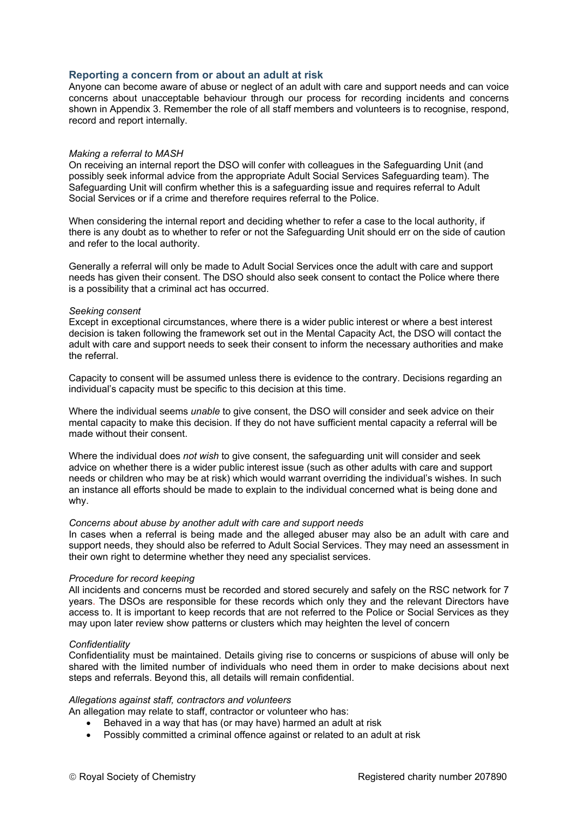## **Reporting a concern from or about an adult at risk**

Anyone can become aware of abuse or neglect of an adult with care and support needs and can voice concerns about unacceptable behaviour through our process for recording incidents and concerns shown in Appendix 3. Remember the role of all staff members and volunteers is to recognise, respond, record and report internally.

#### *Making a referral to MASH*

On receiving an internal report the DSO will confer with colleagues in the Safeguarding Unit (and possibly seek informal advice from the appropriate Adult Social Services Safeguarding team). The Safeguarding Unit will confirm whether this is a safeguarding issue and requires referral to Adult Social Services or if a crime and therefore requires referral to the Police.

When considering the internal report and deciding whether to refer a case to the local authority, if there is any doubt as to whether to refer or not the Safeguarding Unit should err on the side of caution and refer to the local authority.

Generally a referral will only be made to Adult Social Services once the adult with care and support needs has given their consent. The DSO should also seek consent to contact the Police where there is a possibility that a criminal act has occurred.

#### *Seeking consent*

Except in exceptional circumstances, where there is a wider public interest or where a best interest decision is taken following the framework set out in the Mental Capacity Act, the DSO will contact the adult with care and support needs to seek their consent to inform the necessary authorities and make the referral.

Capacity to consent will be assumed unless there is evidence to the contrary. Decisions regarding an individual's capacity must be specific to this decision at this time.

Where the individual seems *unable* to give consent, the DSO will consider and seek advice on their mental capacity to make this decision. If they do not have sufficient mental capacity a referral will be made without their consent.

Where the individual does *not wish* to give consent, the safeguarding unit will consider and seek advice on whether there is a wider public interest issue (such as other adults with care and support needs or children who may be at risk) which would warrant overriding the individual's wishes. In such an instance all efforts should be made to explain to the individual concerned what is being done and why.

#### *Concerns about abuse by another adult with care and support needs*

In cases when a referral is being made and the alleged abuser may also be an adult with care and support needs, they should also be referred to Adult Social Services. They may need an assessment in their own right to determine whether they need any specialist services.

#### *Procedure for record keeping*

All incidents and concerns must be recorded and stored securely and safely on the RSC network for 7 years. The DSOs are responsible for these records which only they and the relevant Directors have access to. It is important to keep records that are not referred to the Police or Social Services as they may upon later review show patterns or clusters which may heighten the level of concern

### *Confidentiality*

Confidentiality must be maintained. Details giving rise to concerns or suspicions of abuse will only be shared with the limited number of individuals who need them in order to make decisions about next steps and referrals. Beyond this, all details will remain confidential.

#### *Allegations against staff, contractors and volunteers*

An allegation may relate to staff, contractor or volunteer who has:

- Behaved in a way that has (or may have) harmed an adult at risk
- Possibly committed a criminal offence against or related to an adult at risk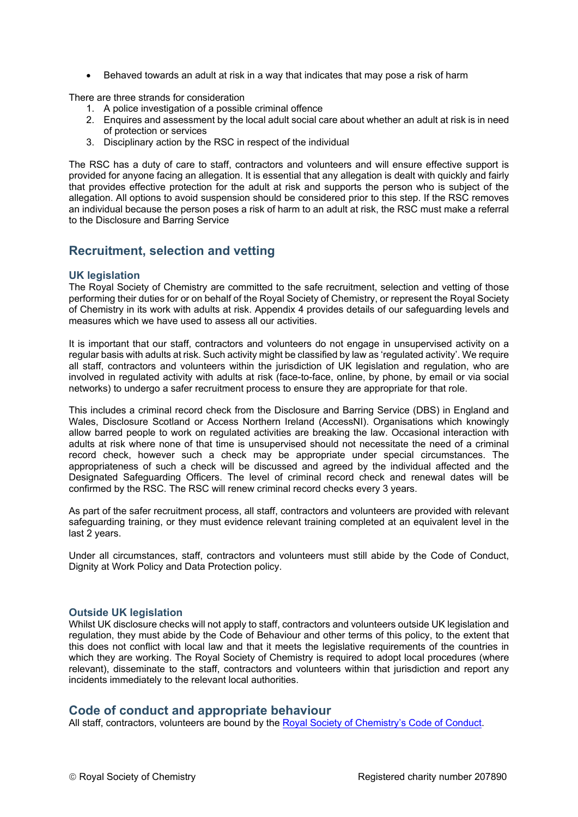• Behaved towards an adult at risk in a way that indicates that may pose a risk of harm

There are three strands for consideration

- 1. A police investigation of a possible criminal offence
- 2. Enquires and assessment by the local adult social care about whether an adult at risk is in need of protection or services
- 3. Disciplinary action by the RSC in respect of the individual

The RSC has a duty of care to staff, contractors and volunteers and will ensure effective support is provided for anyone facing an allegation. It is essential that any allegation is dealt with quickly and fairly that provides effective protection for the adult at risk and supports the person who is subject of the allegation. All options to avoid suspension should be considered prior to this step. If the RSC removes an individual because the person poses a risk of harm to an adult at risk, the RSC must make a referral to the Disclosure and Barring Service

## **Recruitment, selection and vetting**

## **UK legislation**

The Royal Society of Chemistry are committed to the safe recruitment, selection and vetting of those performing their duties for or on behalf of the Royal Society of Chemistry, or represent the Royal Society of Chemistry in its work with adults at risk. Appendix 4 provides details of our safeguarding levels and measures which we have used to assess all our activities.

It is important that our staff, contractors and volunteers do not engage in unsupervised activity on a regular basis with adults at risk. Such activity might be classified by law as 'regulated activity'. We require all staff, contractors and volunteers within the jurisdiction of UK legislation and regulation, who are involved in regulated activity with adults at risk (face-to-face, online, by phone, by email or via social networks) to undergo a safer recruitment process to ensure they are appropriate for that role.

This includes a criminal record check from the Disclosure and Barring Service (DBS) in England and Wales, Disclosure Scotland or Access Northern Ireland (AccessNI). Organisations which knowingly allow barred people to work on regulated activities are breaking the law. Occasional interaction with adults at risk where none of that time is unsupervised should not necessitate the need of a criminal record check, however such a check may be appropriate under special circumstances. The appropriateness of such a check will be discussed and agreed by the individual affected and the Designated Safeguarding Officers. The level of criminal record check and renewal dates will be confirmed by the RSC. The RSC will renew criminal record checks every 3 years.

As part of the safer recruitment process, all staff, contractors and volunteers are provided with relevant safeguarding training, or they must evidence relevant training completed at an equivalent level in the last 2 years.

Under all circumstances, staff, contractors and volunteers must still abide by the Code of Conduct, Dignity at Work Policy and Data Protection policy.

## **Outside UK legislation**

Whilst UK disclosure checks will not apply to staff, contractors and volunteers outside UK legislation and regulation, they must abide by the Code of Behaviour and other terms of this policy, to the extent that this does not conflict with local law and that it meets the legislative requirements of the countries in which they are working. The Royal Society of Chemistry is required to adopt local procedures (where relevant), disseminate to the staff, contractors and volunteers within that jurisdiction and report any incidents immediately to the relevant local authorities.

## **Code of conduct and appropriate behaviour**

All staff, contractors, volunteers are bound by the [Royal Society of Chemistry's Code of Conduct.](https://www.rsc.org/globalassets/03-membership-community/join-us/membership-regulations/rsc-code-of-conduct-final.pdf)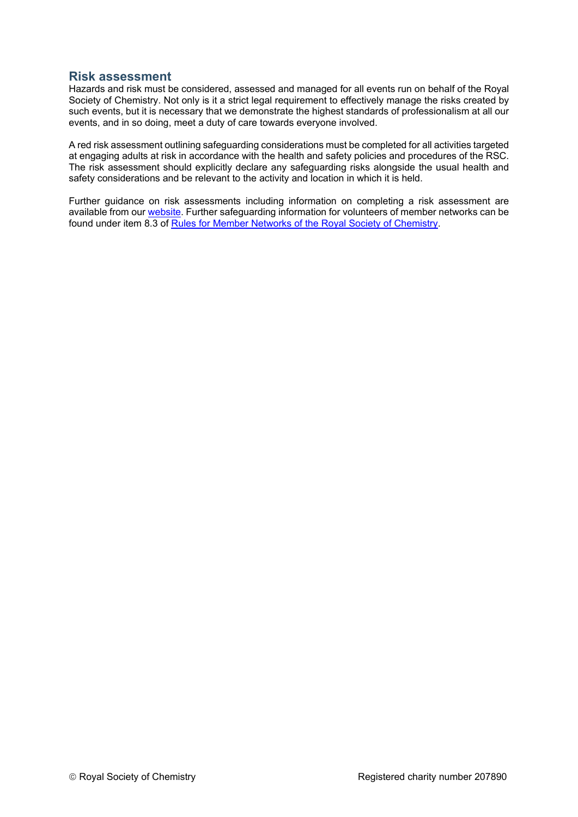## **Risk assessment**

Hazards and risk must be considered, assessed and managed for all events run on behalf of the Royal Society of Chemistry. Not only is it a strict legal requirement to effectively manage the risks created by such events, but it is necessary that we demonstrate the highest standards of professionalism at all our events, and in so doing, meet a duty of care towards everyone involved.

A red risk assessment outlining safeguarding considerations must be completed for all activities targeted at engaging adults at risk in accordance with the health and safety policies and procedures of the RSC. The risk assessment should explicitly declare any safeguarding risks alongside the usual health and safety considerations and be relevant to the activity and location in which it is held.

Further guidance on risk assessments including information on completing a risk assessment are available from our [website.](http://www.rsc.org/events/otherinformation/risk-assessment/) Further safeguarding information for volunteers of member networks can be found under item 8.3 of [Rules for Member Networks of the Royal Society of Chemistry.](https://www.rsc.org/images/Rules%20for%20Member%20Networks%20-%20current%20file_tcm18-249957.pdf)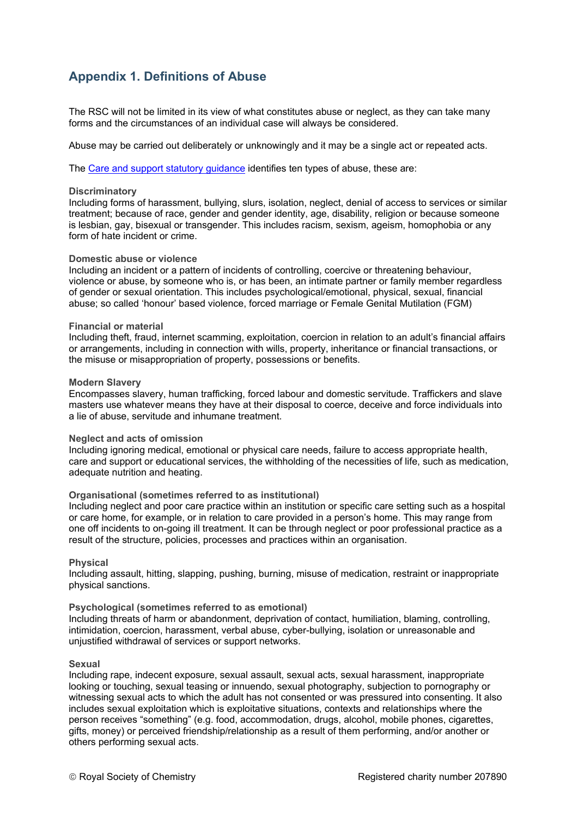## **Appendix 1. Definitions of Abuse**

The RSC will not be limited in its view of what constitutes abuse or neglect, as they can take many forms and the circumstances of an individual case will always be considered.

Abuse may be carried out deliberately or unknowingly and it may be a single act or repeated acts.

The [Care and support statutory guidance](https://www.gov.uk/government/publications/care-act-statutory-guidance/care-and-support-statutory-guidance) identifies ten types of abuse, these are:

#### **Discriminatory**

Including forms of harassment, bullying, slurs, isolation, neglect, denial of access to services or similar treatment; because of race, gender and gender identity, age, disability, religion or because someone is lesbian, gay, bisexual or transgender. This includes racism, sexism, ageism, homophobia or any form of hate incident or crime.

#### **Domestic abuse or violence**

Including an incident or a pattern of incidents of controlling, coercive or threatening behaviour, violence or abuse, by someone who is, or has been, an intimate partner or family member regardless of gender or sexual orientation. This includes psychological/emotional, physical, sexual, financial abuse; so called 'honour' based violence, forced marriage or Female Genital Mutilation (FGM)

#### **Financial or material**

Including theft, fraud, internet scamming, exploitation, coercion in relation to an adult's financial affairs or arrangements, including in connection with wills, property, inheritance or financial transactions, or the misuse or misappropriation of property, possessions or benefits.

#### **Modern Slavery**

Encompasses slavery, human trafficking, forced labour and domestic servitude. Traffickers and slave masters use whatever means they have at their disposal to coerce, deceive and force individuals into a lie of abuse, servitude and inhumane treatment.

### **Neglect and acts of omission**

Including ignoring medical, emotional or physical care needs, failure to access appropriate health, care and support or educational services, the withholding of the necessities of life, such as medication, adequate nutrition and heating.

### **Organisational (sometimes referred to as institutional)**

Including neglect and poor care practice within an institution or specific care setting such as a hospital or care home, for example, or in relation to care provided in a person's home. This may range from one off incidents to on-going ill treatment. It can be through neglect or poor professional practice as a result of the structure, policies, processes and practices within an organisation.

### **Physical**

Including assault, hitting, slapping, pushing, burning, misuse of medication, restraint or inappropriate physical sanctions.

### **Psychological (sometimes referred to as emotional)**

Including threats of harm or abandonment, deprivation of contact, humiliation, blaming, controlling, intimidation, coercion, harassment, verbal abuse, cyber-bullying, isolation or unreasonable and unjustified withdrawal of services or support networks.

### **Sexual**

Including rape, indecent exposure, sexual assault, sexual acts, sexual harassment, inappropriate looking or touching, sexual teasing or innuendo, sexual photography, subjection to pornography or witnessing sexual acts to which the adult has not consented or was pressured into consenting. It also includes sexual exploitation which is exploitative situations, contexts and relationships where the person receives "something" (e.g. food, accommodation, drugs, alcohol, mobile phones, cigarettes, gifts, money) or perceived friendship/relationship as a result of them performing, and/or another or others performing sexual acts.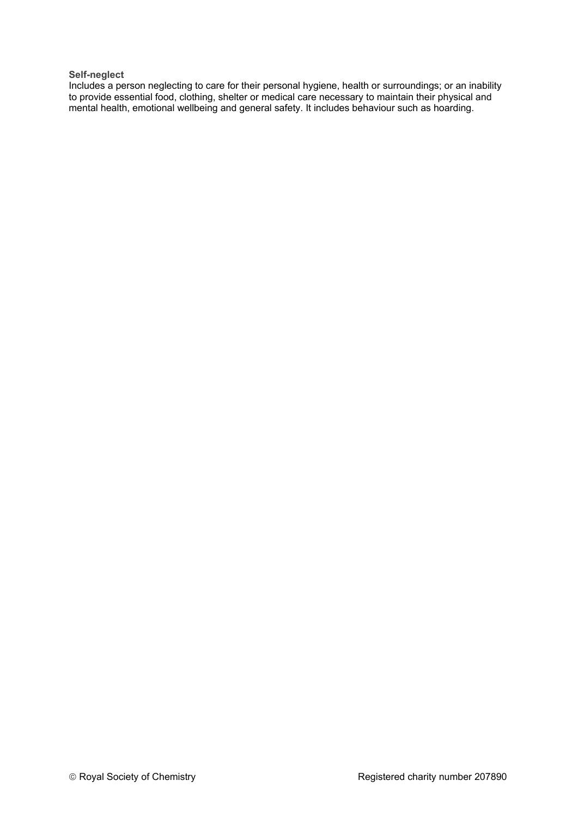## **Self-neglect**

Includes a person neglecting to care for their personal hygiene, health or surroundings; or an inability to provide essential food, clothing, shelter or medical care necessary to maintain their physical and mental health, emotional wellbeing and general safety. It includes behaviour such as hoarding.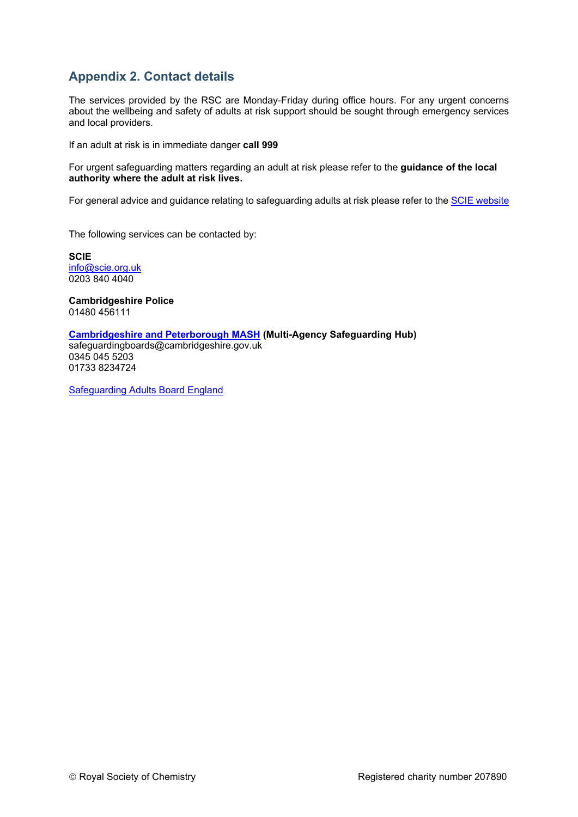## **Appendix 2. Contact details**

The services provided by the RSC are Monday-Friday during office hours. For any urgent concerns about the wellbeing and safety of adults at risk support should be sought through emergency services and local providers.

If an adult at risk is in immediate danger **call 999**

For urgent safeguarding matters regarding an adult at risk please refer to the **guidance of the local authority where the adult at risk lives.**

For general advice and guidance relating to safeguarding adults at risk please refer to th[e SCIE website](https://www.scie.org.uk/safeguarding)

The following services can be contacted by:

**SCIE** [info@scie.org.uk](mailto:info@scie.org.uk) 0203 840 4040

**Cambridgeshire Police** 01480 [456111](tel:01480456111)

## **[Cambridgeshire and Peterborough MASH](https://www.safeguardingcambspeterborough.org.uk/) (Multi-Agency Safeguarding Hub)**

[safeguardingboards@cambridgeshire.gov.uk](mailto:safeguardingboards@cambridgeshire.gov.uk) 0345 045 5203 [01733 8234724](tel:01733%20863744)

[Safeguarding Adults Board England](https://www.safecic.co.uk/sab-england)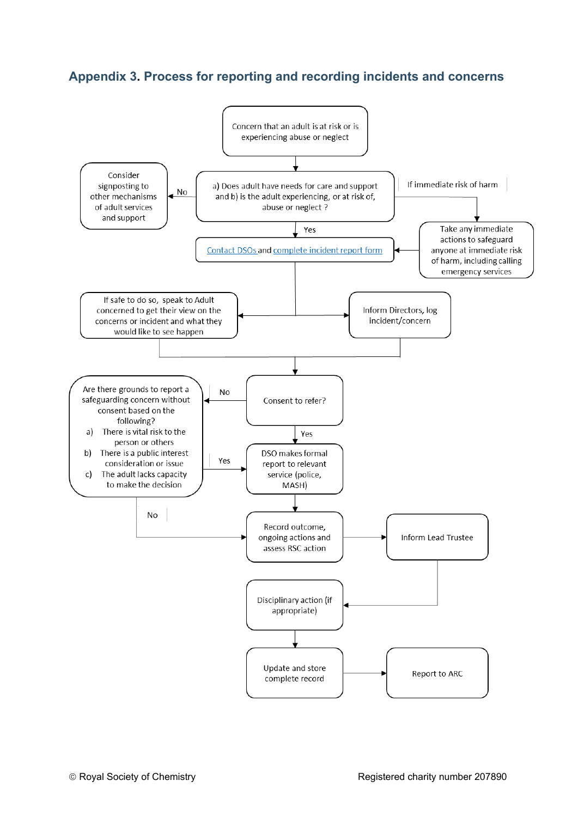## **Appendix 3. Process for reporting and recording incidents and concerns**

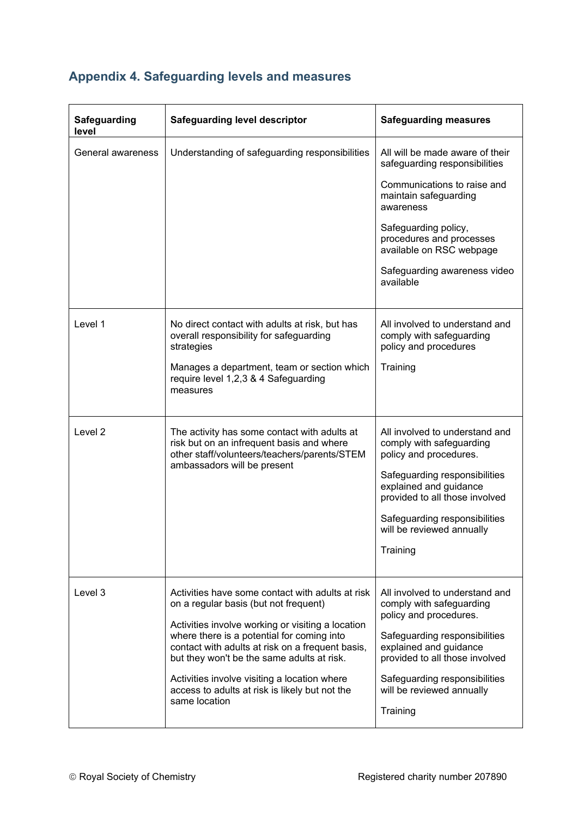| <b>Safeguarding</b><br>level | <b>Safeguarding level descriptor</b>                                                                                                                                                                                                                                                                                                                                                                              | <b>Safeguarding measures</b>                                                                                                                                                                                                                                       |
|------------------------------|-------------------------------------------------------------------------------------------------------------------------------------------------------------------------------------------------------------------------------------------------------------------------------------------------------------------------------------------------------------------------------------------------------------------|--------------------------------------------------------------------------------------------------------------------------------------------------------------------------------------------------------------------------------------------------------------------|
| General awareness            | Understanding of safeguarding responsibilities                                                                                                                                                                                                                                                                                                                                                                    | All will be made aware of their<br>safeguarding responsibilities<br>Communications to raise and<br>maintain safeguarding<br>awareness<br>Safeguarding policy,<br>procedures and processes<br>available on RSC webpage<br>Safeguarding awareness video<br>available |
| Level 1                      | No direct contact with adults at risk, but has<br>overall responsibility for safeguarding<br>strategies<br>Manages a department, team or section which<br>require level 1,2,3 & 4 Safeguarding<br>measures                                                                                                                                                                                                        | All involved to understand and<br>comply with safeguarding<br>policy and procedures<br>Training                                                                                                                                                                    |
| Level 2                      | The activity has some contact with adults at<br>risk but on an infrequent basis and where<br>other staff/volunteers/teachers/parents/STEM<br>ambassadors will be present                                                                                                                                                                                                                                          | All involved to understand and<br>comply with safeguarding<br>policy and procedures.<br>Safeguarding responsibilities<br>explained and guidance<br>provided to all those involved<br>Safeguarding responsibilities<br>will be reviewed annually<br>Training        |
| Level 3                      | Activities have some contact with adults at risk<br>on a regular basis (but not frequent)<br>Activities involve working or visiting a location<br>where there is a potential for coming into<br>contact with adults at risk on a frequent basis,<br>but they won't be the same adults at risk.<br>Activities involve visiting a location where<br>access to adults at risk is likely but not the<br>same location | All involved to understand and<br>comply with safeguarding<br>policy and procedures.<br>Safeguarding responsibilities<br>explained and guidance<br>provided to all those involved<br>Safeguarding responsibilities<br>will be reviewed annually<br>Training        |

# **Appendix 4. Safeguarding levels and measures**